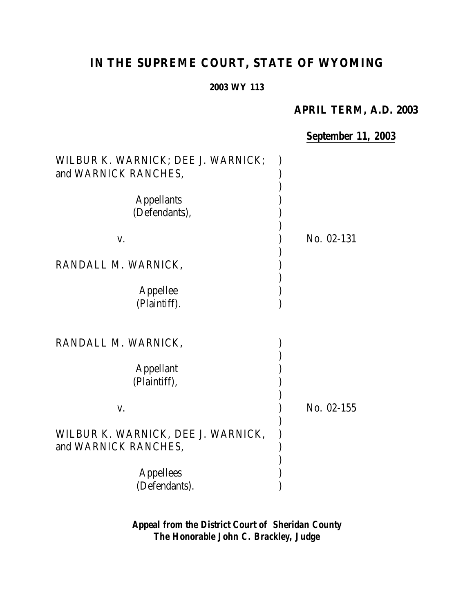# **IN THE SUPREME COURT, STATE OF WYOMING**

#### **2003 WY 113**

## **APRIL TERM, A.D. 2003**

## *September 11, 2003*

| WILBUR K. WARNICK; DEE J. WARNICK;<br>and WARNICK RANCHES, |            |
|------------------------------------------------------------|------------|
|                                                            |            |
| <b>Appellants</b>                                          |            |
| (Defendants),                                              |            |
|                                                            |            |
| V.                                                         | No. 02-131 |
| RANDALL M. WARNICK,                                        |            |
|                                                            |            |
| Appellee                                                   |            |
| (Plaintiff).                                               |            |
|                                                            |            |
|                                                            |            |
| RANDALL M. WARNICK,                                        |            |
|                                                            |            |
| <b>Appellant</b>                                           |            |
| (Plaintiff),                                               |            |
|                                                            |            |
| V.                                                         | No. 02-155 |
|                                                            |            |
| WILBUR K. WARNICK, DEE J. WARNICK,                         |            |
| and WARNICK RANCHES,                                       |            |
|                                                            |            |
| <b>Appellees</b>                                           |            |
| (Defendants).                                              |            |

*Appeal from the District Court of Sheridan County The Honorable John C. Brackley, Judge*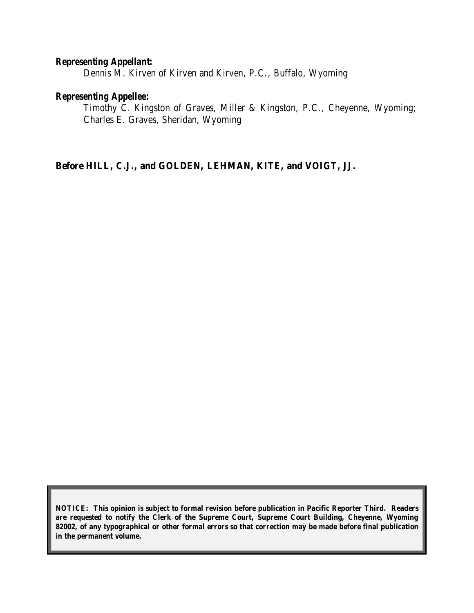#### *Representing Appellant:*

Dennis M. Kirven of Kirven and Kirven, P.C., Buffalo, Wyoming

#### *Representing Appellee:*

Timothy C. Kingston of Graves, Miller & Kingston, P.C., Cheyenne, Wyoming; Charles E. Graves, Sheridan, Wyoming

**Before HILL, C.J., and GOLDEN, LEHMAN, KITE, and VOIGT, JJ.**

**NOTICE: This opinion is subject to formal revision before publication in Pacific Reporter Third. Readers are requested to notify the Clerk of the Supreme Court, Supreme Court Building, Cheyenne, Wyoming 82002, of any typographical or other formal errors so that correction may be made before final publication in the permanent volume.**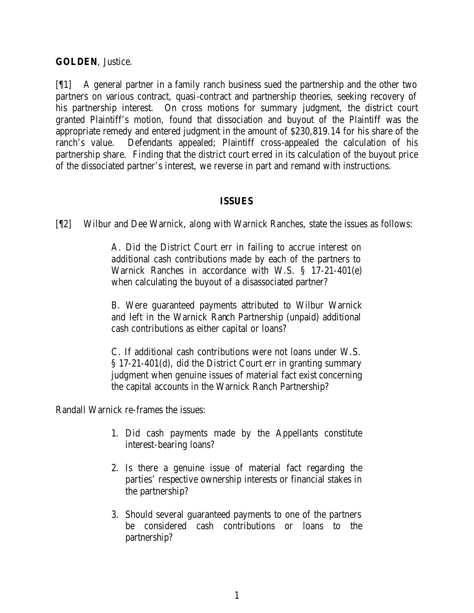#### **GOLDEN**, Justice.

[¶1] A general partner in a family ranch business sued the partnership and the other two partners on various contract, quasi-contract and partnership theories, seeking recovery of his partnership interest. On cross motions for summary judgment, the district court granted Plaintiff's motion, found that dissociation and buyout of the Plaintiff was the appropriate remedy and entered judgment in the amount of \$230,819.14 for his share of the ranch's value. Defendants appealed; Plaintiff cross-appealed the calculation of his partnership share. Finding that the district court erred in its calculation of the buyout price of the dissociated partner's interest, we reverse in part and remand with instructions.

#### **ISSUES**

[¶2] Wilbur and Dee Warnick, along with Warnick Ranches, state the issues as follows:

A. Did the District Court err in failing to accrue interest on additional cash contributions made by each of the partners to Warnick Ranches in accordance with W.S. § 17-21-401(e) when calculating the buyout of a disassociated partner?

B. Were guaranteed payments attributed to Wilbur Warnick and left in the Warnick Ranch Partnership (unpaid) additional cash contributions as either capital or loans?

C. If additional cash contributions were not loans under W.S. § 17-21-401(d), did the District Court err in granting summary judgment when genuine issues of material fact exist concerning the capital accounts in the Warnick Ranch Partnership?

Randall Warnick re-frames the issues:

- 1. Did cash payments made by the Appellants constitute interest-bearing loans?
- 2. Is there a genuine issue of material fact regarding the parties' respective ownership interests or financial stakes in the partnership?
- 3. Should several guaranteed payments to one of the partners be considered cash contributions or loans to the partnership?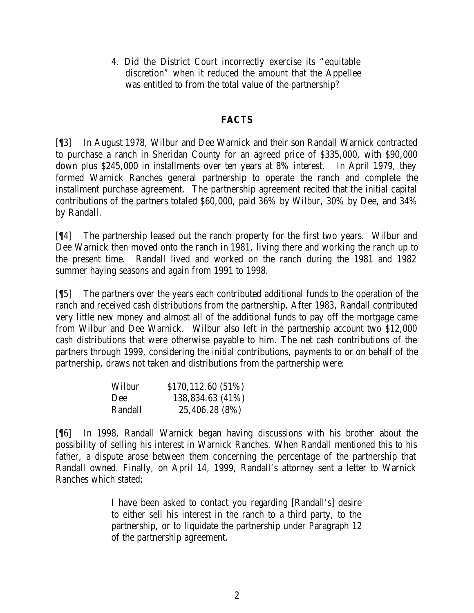4. Did the District Court incorrectly exercise its "equitable discretion" when it reduced the amount that the Appellee was entitled to from the total value of the partnership?

#### **FACTS**

[¶3] In August 1978, Wilbur and Dee Warnick and their son Randall Warnick contracted to purchase a ranch in Sheridan County for an agreed price of \$335,000, with \$90,000 down plus \$245,000 in installments over ten years at 8% interest. In April 1979, they formed Warnick Ranches general partnership to operate the ranch and complete the installment purchase agreement. The partnership agreement recited that the initial capital contributions of the partners totaled \$60,000, paid 36% by Wilbur, 30% by Dee, and 34% by Randall.

[¶4] The partnership leased out the ranch property for the first two years. Wilbur and Dee Warnick then moved onto the ranch in 1981, living there and working the ranch up to the present time. Randall lived and worked on the ranch during the 1981 and 1982 summer haying seasons and again from 1991 to 1998.

[¶5] The partners over the years each contributed additional funds to the operation of the ranch and received cash distributions from the partnership. After 1983, Randall contributed very little new money and almost all of the additional funds to pay off the mortgage came from Wilbur and Dee Warnick. Wilbur also left in the partnership account two \$12,000 cash distributions that were otherwise payable to him. The net cash contributions of the partners through 1999, considering the initial contributions, payments to or on behalf of the partnership, draws not taken and distributions from the partnership were:

| Wilbur  | \$170,112.60 (51%) |
|---------|--------------------|
| Dee     | 138,834.63 (41%)   |
| Randall | 25,406.28 (8%)     |

[¶6] In 1998, Randall Warnick began having discussions with his brother about the possibility of selling his interest in Warnick Ranches. When Randall mentioned this to his father, a dispute arose between them concerning the percentage of the partnership that Randall owned. Finally, on April 14, 1999, Randall's attorney sent a letter to Warnick Ranches which stated:

> I have been asked to contact you regarding [Randall's] desire to either sell his interest in the ranch to a third party, to the partnership, or to liquidate the partnership under Paragraph 12 of the partnership agreement.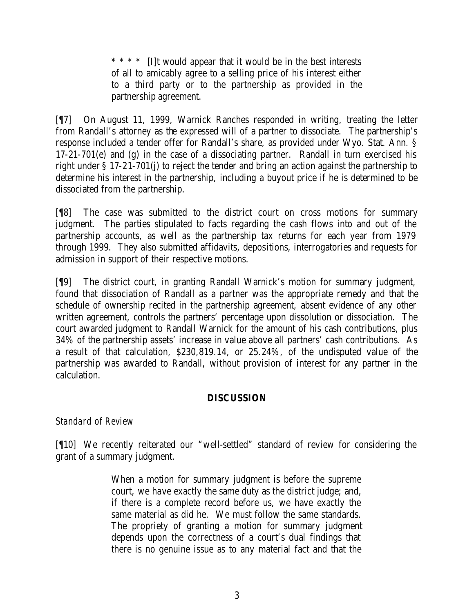\* \* \* \* [I]t would appear that it would be in the best interests of all to amicably agree to a selling price of his interest either to a third party or to the partnership as provided in the partnership agreement.

[¶7] On August 11, 1999, Warnick Ranches responded in writing, treating the letter from Randall's attorney as the expressed will of a partner to dissociate.The partnership's response included a tender offer for Randall's share, as provided under Wyo. Stat. Ann. § 17-21-701(e) and (g) in the case of a dissociating partner. Randall in turn exercised his right under § 17-21-701(j) to reject the tender and bring an action against the partnership to determine his interest in the partnership, including a buyout price if he is determined to be dissociated from the partnership.

[¶8] The case was submitted to the district court on cross motions for summary judgment. The parties stipulated to facts regarding the cash flows into and out of the partnership accounts, as well as the partnership tax returns for each year from 1979 through 1999. They also submitted affidavits, depositions, interrogatories and requests for admission in support of their respective motions.

[¶9] The district court, in granting Randall Warnick's motion for summary judgment, found that dissociation of Randall as a partner was the appropriate remedy and that the schedule of ownership recited in the partnership agreement, absent evidence of any other written agreement, controls the partners' percentage upon dissolution or dissociation. The court awarded judgment to Randall Warnick for the amount of his cash contributions, plus 34% of the partnership assets' increase in value above all partners' cash contributions. As a result of that calculation, \$230,819.14, or 25.24%, of the undisputed value of the partnership was awarded to Randall, without provision of interest for any partner in the calculation.

#### **DISCUSSION**

### *Standard of Review*

[¶10] We recently reiterated our "well-settled" standard of review for considering the grant of a summary judgment.

> When a motion for summary judgment is before the supreme court, we have exactly the same duty as the district judge; and, if there is a complete record before us, we have exactly the same material as did he. We must follow the same standards. The propriety of granting a motion for summary judgment depends upon the correctness of a court's dual findings that there is no genuine issue as to any material fact and that the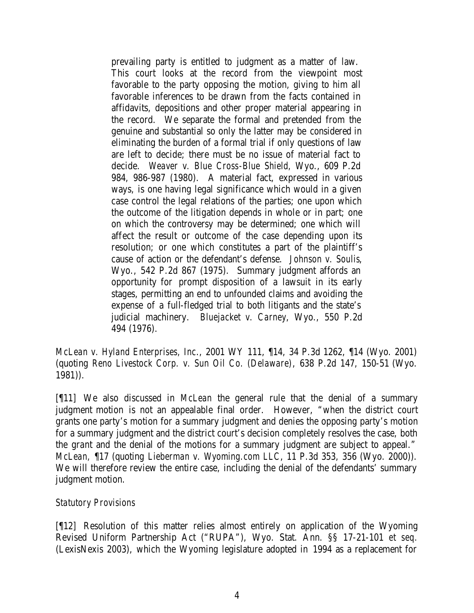prevailing party is entitled to judgment as a matter of law. This court looks at the record from the viewpoint most favorable to the party opposing the motion, giving to him all favorable inferences to be drawn from the facts contained in affidavits, depositions and other proper material appearing in the record. We separate the formal and pretended from the genuine and substantial so only the latter may be considered in eliminating the burden of a formal trial if only questions of law are left to decide; there must be no issue of material fact to decide. *Weaver v. Blue Cross-Blue Shield,* Wyo., 609 P.2d 984, 986-987 (1980). A material fact, expressed in various ways, is one having legal significance which would in a given case control the legal relations of the parties; one upon which the outcome of the litigation depends in whole or in part; one on which the controversy may be determined; one which will affect the result or outcome of the case depending upon its resolution; or one which constitutes a part of the plaintiff's cause of action or the defendant's defense. *Johnson v. Soulis*, Wyo., 542 P.2d 867 (1975). Summary judgment affords an opportunity for prompt disposition of a lawsuit in its early stages, permitting an end to unfounded claims and avoiding the expense of a full-fledged trial to both litigants and the state's judicial machinery. *Bluejacket v. Carney*, Wyo., 550 P.2d 494 (1976).

*McLean v. Hyland Enterprises, Inc*., 2001 WY 111, ¶14, 34 P.3d 1262, ¶14 (Wyo. 2001) (quoting *Reno Livestock Corp. v. Sun Oil Co. (Delaware)*, 638 P.2d 147, 150-51 (Wyo. 1981)).

[¶11] We also discussed in *McLean* the general rule that the denial of a summary judgment motion is not an appealable final order. However, "when the district court grants one party's motion for a summary judgment and denies the opposing party's motion for a summary judgment and the district court's decision completely resolves the case, both the grant and the denial of the motions for a summary judgment are subject to appeal." *McLean,* ¶17 (quoting *Lieberman v. Wyoming.com LLC*, 11 P.3d 353, 356 (Wyo. 2000)). We will therefore review the entire case, including the denial of the defendants' summary judgment motion.

#### *Statutory Provisions*

[¶12] Resolution of this matter relies almost entirely on application of the Wyoming Revised Uniform Partnership Act ("RUPA"), Wyo. Stat. Ann. §§ 17-21-101 *et seq.* (LexisNexis 2003), which the Wyoming legislature adopted in 1994 as a replacement for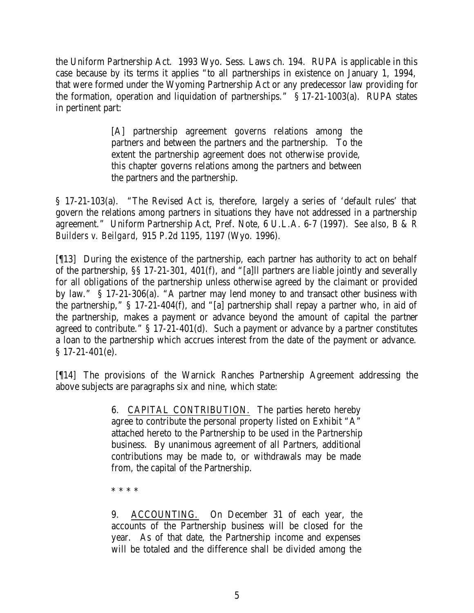the Uniform Partnership Act. 1993 Wyo. Sess. Laws ch. 194. RUPA is applicable in this case because by its terms it applies "to all partnerships in existence on January 1, 1994, that were formed under the Wyoming Partnership Act or any predecessor law providing for the formation, operation and liquidation of partnerships." § 17-21-1003(a). RUPA states in pertinent part:

> [A] partnership agreement governs relations among the partners and between the partners and the partnership. To the extent the partnership agreement does not otherwise provide, this chapter governs relations among the partners and between the partners and the partnership.

§ 17-21-103(a). "The Revised Act is, therefore, largely a series of 'default rules' that govern the relations among partners in situations they have not addressed in a partnership agreement." Uniform Partnership Act, Pref. Note, 6 U.L.A. 6-7 (1997). *See also, B & R Builders v. Beilgard,* 915 P.2d 1195, 1197 (Wyo. 1996).

[¶13] During the existence of the partnership, each partner has authority to act on behalf of the partnership, §§ 17-21-301, 401(f), and "[a]ll partners are liable jointly and severally for all obligations of the partnership unless otherwise agreed by the claimant or provided by law." § 17-21-306(a). "A partner may lend money to and transact other business with the partnership," § 17-21-404(f), and "[a] partnership shall repay a partner who, in aid of the partnership, makes a payment or advance beyond the amount of capital the partner agreed to contribute." § 17-21-401(d). Such a payment or advance by a partner constitutes a loan to the partnership which accrues interest from the date of the payment or advance. § 17-21-401(e).

[¶14] The provisions of the Warnick Ranches Partnership Agreement addressing the above subjects are paragraphs six and nine, which state:

> 6. CAPITAL CONTRIBUTION. The parties hereto hereby agree to contribute the personal property listed on Exhibit "A" attached hereto to the Partnership to be used in the Partnership business. By unanimous agreement of all Partners, additional contributions may be made to, or withdrawals may be made from, the capital of the Partnership.

\* \* \* \*

9. ACCOUNTING. On December 31 of each year, the accounts of the Partnership business will be closed for the year. As of that date, the Partnership income and expenses will be totaled and the difference shall be divided among the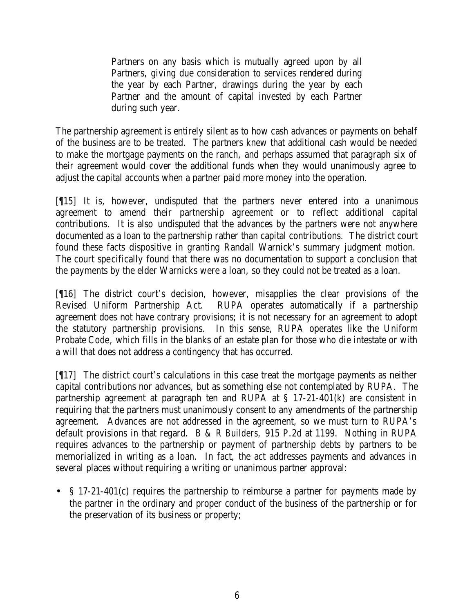Partners on any basis which is mutually agreed upon by all Partners, giving due consideration to services rendered during the year by each Partner, drawings during the year by each Partner and the amount of capital invested by each Partner during such year.

The partnership agreement is entirely silent as to how cash advances or payments on behalf of the business are to be treated. The partners knew that additional cash would be needed to make the mortgage payments on the ranch, and perhaps assumed that paragraph six of their agreement would cover the additional funds when they would unanimously agree to adjust the capital accounts when a partner paid more money into the operation.

[¶15] It is, however, undisputed that the partners never entered into a unanimous agreement to amend their partnership agreement or to reflect additional capital contributions. It is also undisputed that the advances by the partners were not anywhere documented as a loan to the partnership rather than capital contributions. The district court found these facts dispositive in granting Randall Warnick's summary judgment motion. The court specifically found that there was no documentation to support a conclusion that the payments by the elder Warnicks were a loan, so they could not be treated as a loan.

[¶16] The district court's decision, however, misapplies the clear provisions of the Revised Uniform Partnership Act. RUPA operates automatically if a partnership agreement does not have contrary provisions; it is not necessary for an agreement to adopt the statutory partnership provisions. In this sense, RUPA operates like the Uniform Probate Code, which fills in the blanks of an estate plan for those who die intestate or with a will that does not address a contingency that has occurred.

[¶17] The district court's calculations in this case treat the mortgage payments as neither capital contributions nor advances, but as something else not contemplated by RUPA. The partnership agreement at paragraph ten and RUPA at § 17-21-401(k) are consistent in requiring that the partners must unanimously consent to any amendments of the partnership agreement. Advances are not addressed in the agreement, so we must turn to RUPA's default provisions in that regard. *B & R Builders,* 915 P.2d at 1199. Nothing in RUPA requires advances to the partnership or payment of partnership debts by partners to be memorialized in writing as a loan. In fact, the act addresses payments and advances in several places without requiring a writing or unanimous partner approval:

• § 17-21-401(c) requires the partnership to reimburse a partner for payments made by the partner in the ordinary and proper conduct of the business of the partnership or for the preservation of its business or property;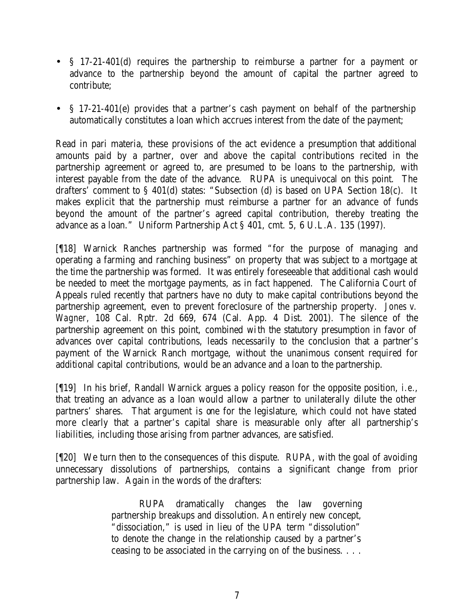- § 17-21-401(d) requires the partnership to reimburse a partner for a payment or advance to the partnership beyond the amount of capital the partner agreed to contribute;
- § 17-21-401(e) provides that a partner's cash payment on behalf of the partnership automatically constitutes a loan which accrues interest from the date of the payment;

Read in pari materia, these provisions of the act evidence a presumption that additional amounts paid by a partner, over and above the capital contributions recited in the partnership agreement or agreed to, are presumed to be loans to the partnership, with interest payable from the date of the advance. RUPA is unequivocal on this point. The drafters' comment to § 401(d) states: "Subsection (d) is based on UPA Section 18(c). It makes explicit that the partnership must reimburse a partner for an advance of funds beyond the amount of the partner's agreed capital contribution, thereby treating the advance as a loan." Uniform Partnership Act § 401, cmt. 5, 6 U.L.A. 135 (1997).

[¶18] Warnick Ranches partnership was formed "for the purpose of managing and operating a farming and ranching business" on property that was subject to a mortgage at the time the partnership was formed. It was entirely foreseeable that additional cash would be needed to meet the mortgage payments, as in fact happened. The California Court of Appeals ruled recently that partners have no duty to make capital contributions beyond the partnership agreement, even to prevent foreclosure of the partnership property. *Jones v. Wagner*, 108 Cal. Rptr. 2d 669, 674 (Cal. App. 4 Dist. 2001). The silence of the partnership agreement on this point, combined with the statutory presumption in favor of advances over capital contributions, leads necessarily to the conclusion that a partner's payment of the Warnick Ranch mortgage, without the unanimous consent required for additional capital contributions, would be an advance and a loan to the partnership.

[¶19] In his brief, Randall Warnick argues a policy reason for the opposite position, *i.e.*, that treating an advance as a loan would allow a partner to unilaterally dilute the other partners' shares. That argument is one for the legislature, which could not have stated more clearly that a partner's capital share is measurable only after all partnership's liabilities, including those arising from partner advances, are satisfied.

[¶20] We turn then to the consequences of this dispute. RUPA, with the goal of avoiding unnecessary dissolutions of partnerships, contains a significant change from prior partnership law. Again in the words of the drafters:

> RUPA dramatically changes the law governing partnership breakups and dissolution. An entirely new concept, "dissociation," is used in lieu of the UPA term "dissolution" to denote the change in the relationship caused by a partner's ceasing to be associated in the carrying on of the business. . . .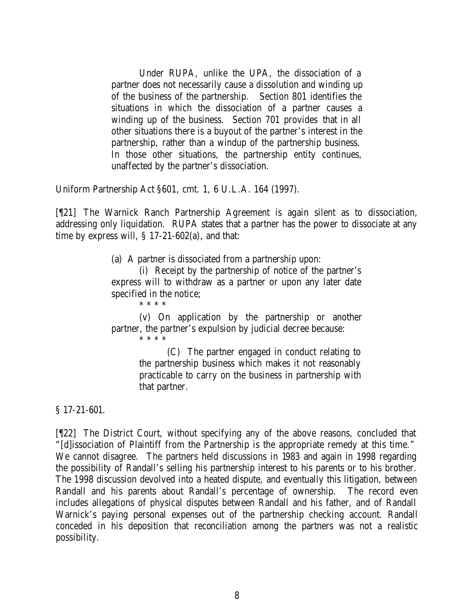Under RUPA, unlike the UPA, the dissociation of a partner does not necessarily cause a dissolution and winding up of the business of the partnership. Section 801 identifies the situations in which the dissociation of a partner causes a winding up of the business. Section 701 provides that in all other situations there is a buyout of the partner's interest in the partnership, rather than a windup of the partnership business. In those other situations, the partnership entity continues, unaffected by the partner's dissociation.

Uniform Partnership Act §601, cmt. 1, 6 U.L.A. 164 (1997).

[¶21] The Warnick Ranch Partnership Agreement is again silent as to dissociation, addressing only liquidation. RUPA states that a partner has the power to dissociate at any time by express will,  $\S$  17-21-602(a), and that:

(a) A partner is dissociated from a partnership upon:

(i) Receipt by the partnership of notice of the partner's express will to withdraw as a partner or upon any later date specified in the notice;

\* \* \* \* (v) On application by the partnership or another partner, the partner's expulsion by judicial decree because: \* \* \* \*

> (C) The partner engaged in conduct relating to the partnership business which makes it not reasonably practicable to carry on the business in partnership with that partner.

§ 17-21-601.

[¶22] The District Court, without specifying any of the above reasons, concluded that "[d]issociation of Plaintiff from the Partnership is the appropriate remedy at this time." We cannot disagree. The partners held discussions in 1983 and again in 1998 regarding the possibility of Randall's selling his partnership interest to his parents or to his brother. The 1998 discussion devolved into a heated dispute, and eventually this litigation, between Randall and his parents about Randall's percentage of ownership. The record even includes allegations of physical disputes between Randall and his father, and of Randall Warnick's paying personal expenses out of the partnership checking account. Randall conceded in his deposition that reconciliation among the partners was not a realistic possibility.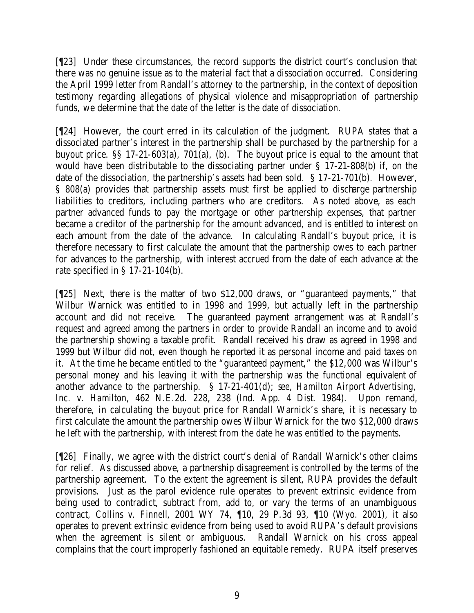[¶23] Under these circumstances, the record supports the district court's conclusion that there was no genuine issue as to the material fact that a dissociation occurred. Considering the April 1999 letter from Randall's attorney to the partnership, in the context of deposition testimony regarding allegations of physical violence and misappropriation of partnership funds, we determine that the date of the letter is the date of dissociation.

[¶24] However, the court erred in its calculation of the judgment. RUPA states that a dissociated partner's interest in the partnership shall be purchased by the partnership for a buyout price.  $\S$ § 17-21-603(a), 701(a), (b). The buyout price is equal to the amount that would have been distributable to the dissociating partner under § 17-21-808(b) if, on the date of the dissociation, the partnership's assets had been sold. § 17-21-701(b). However, § 808(a) provides that partnership assets must first be applied to discharge partnership liabilities to creditors, including partners who are creditors. As noted above, as each partner advanced funds to pay the mortgage or other partnership expenses, that partner became a creditor of the partnership for the amount advanced, and is entitled to interest on each amount from the date of the advance. In calculating Randall's buyout price, it is therefore necessary to first calculate the amount that the partnership owes to each partner for advances to the partnership, with interest accrued from the date of each advance at the rate specified in § 17-21-104(b).

[¶25] Next, there is the matter of two \$12,000 draws, or "guaranteed payments," that Wilbur Warnick was entitled to in 1998 and 1999, but actually left in the partnership account and did not receive. The guaranteed payment arrangement was at Randall's request and agreed among the partners in order to provide Randall an income and to avoid the partnership showing a taxable profit. Randall received his draw as agreed in 1998 and 1999 but Wilbur did not, even though he reported it as personal income and paid taxes on it. At the time he became entitled to the "guaranteed payment," the \$12,000 was Wilbur's personal money and his leaving it with the partnership was the functional equivalent of another advance to the partnership. § 17-21-401(d); s*ee, Hamilton Airport Advertising, Inc. v. Hamilton*, 462 N.E.2d. 228, 238 (Ind. App. 4 Dist. 1984). Upon remand, therefore, in calculating the buyout price for Randall Warnick's share, it is necessary to first calculate the amount the partnership owes Wilbur Warnick for the two \$12,000 draws he left with the partnership, with interest from the date he was entitled to the payments.

[¶26] Finally, we agree with the district court's denial of Randall Warnick's other claims for relief. As discussed above, a partnership disagreement is controlled by the terms of the partnership agreement. To the extent the agreement is silent, RUPA provides the default provisions. Just as the parol evidence rule operates to prevent extrinsic evidence from being used to contradict, subtract from, add to, or vary the terms of an unambiguous contract, *Collins v. Finnell*, 2001 WY 74, ¶10, 29 P.3d 93, ¶10 (Wyo. 2001), it also operates to prevent extrinsic evidence from being used to avoid RUPA's default provisions when the agreement is silent or ambiguous. Randall Warnick on his cross appeal complains that the court improperly fashioned an equitable remedy. RUPA itself preserves